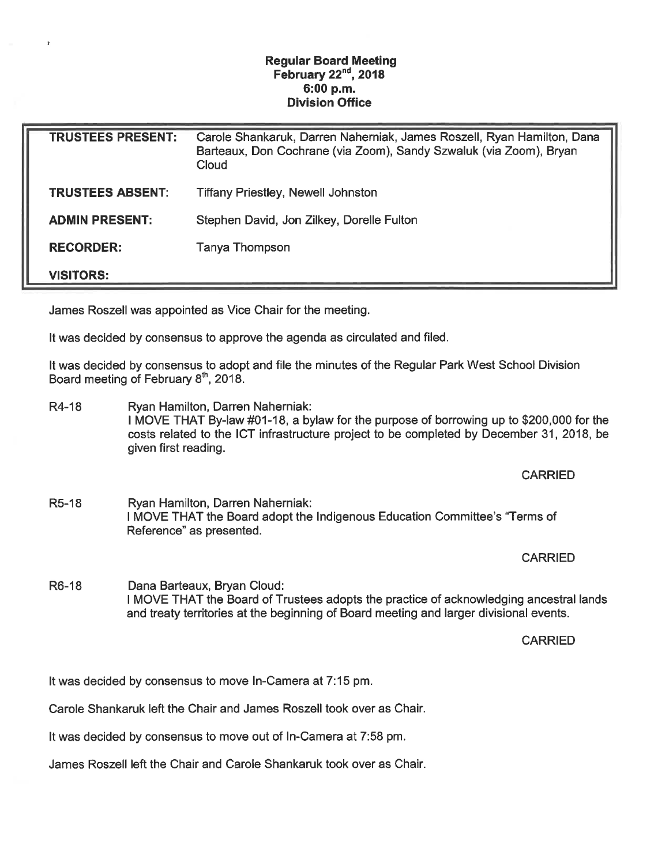## Regular Board Meeting February  $22<sup>nd</sup>$ , 2018 6:00 p.m. Division Office

| <b>TRUSTEES PRESENT:</b> | Carole Shankaruk, Darren Naherniak, James Roszell, Ryan Hamilton, Dana<br>Barteaux, Don Cochrane (via Zoom), Sandy Szwaluk (via Zoom), Bryan<br>Cloud |
|--------------------------|-------------------------------------------------------------------------------------------------------------------------------------------------------|
| <b>TRUSTEES ABSENT:</b>  | <b>Tiffany Priestley, Newell Johnston</b>                                                                                                             |
| <b>ADMIN PRESENT:</b>    | Stephen David, Jon Zilkey, Dorelle Fulton                                                                                                             |
| <b>RECORDER:</b>         | Tanya Thompson                                                                                                                                        |
| <b>VISITORS:</b>         |                                                                                                                                                       |

James Roszell was appointed as Vice Chair for the meeting.

It was decided by consensus to approve the agenda as circulated and filed.

It was decided by consensus to adopt and file the minutes of the Regular Park West School Division Board meeting of February  $8<sup>th</sup>$ , 2018.

R4-18 Ryan Hamilton, Darren Naherniak: I MOVE THAT By-law #01-18, a bylaw for the purpose of borrowing up to \$200,000 for the costs related to the ICT infrastructure project to be completed by December 31, 2018, be given first reading.

## CARRIED

R5-18 Ryan Hamilton, Darren Naherniak: I MOVE THAT the Board adopt the Indigenous Education Committee's "Terms of Reference" as presented.

## CARRIED

R6-18 Dana Barteaux, Bryan Cloud: I MOVE THAT the Board of Trustees adopts the practice of acknowledging ancestral lands and treaty territories at the beginning of Board meeting and larger divisional events.

## **CARRIED**

It was decided by consensus to move In-Camera at 7:15 pm.

Carole Shankaruk left the Chair and James Roszell took over as Chair.

It was decided by consensus to move out of In-Camera at 7:58 pm.

James Roszell left the Chair and Carole Shankaruk took over as Chair.